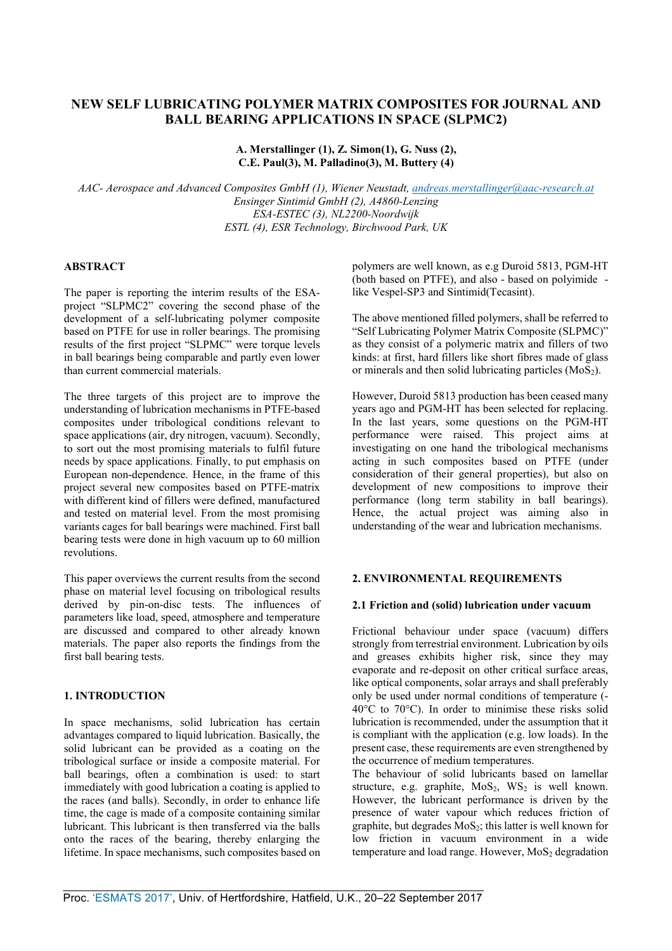# **NEW SELF LUBRICATING POLYMER MATRIX COMPOSITES FOR JOURNAL AND BALL BEARING APPLICATIONS IN SPACE (SLPMC2)**

**A. Merstallinger (1), Z. Simon(1), G. Nuss (2), C.E. Paul(3), M. Palladino(3), M. Buttery (4)** 

*AAC- Aerospace and Advanced Composites GmbH (1), Wiener Neustadt, andreas.merstallinger@aac-research.at Ensinger Sintimid GmbH (2), A4860-Lenzing ESA-ESTEC (3), NL2200-Noordwijk ESTL (4), ESR Technology, Birchwood Park, UK* 

# **ABSTRACT**

The paper is reporting the interim results of the ESAproject "SLPMC2" covering the second phase of the development of a self-lubricating polymer composite based on PTFE for use in roller bearings. The promising results of the first project "SLPMC" were torque levels in ball bearings being comparable and partly even lower than current commercial materials.

The three targets of this project are to improve the understanding of lubrication mechanisms in PTFE-based composites under tribological conditions relevant to space applications (air, dry nitrogen, vacuum). Secondly, to sort out the most promising materials to fulfil future needs by space applications. Finally, to put emphasis on European non-dependence. Hence, in the frame of this project several new composites based on PTFE-matrix with different kind of fillers were defined, manufactured and tested on material level. From the most promising variants cages for ball bearings were machined. First ball bearing tests were done in high vacuum up to 60 million revolutions.

This paper overviews the current results from the second phase on material level focusing on tribological results derived by pin-on-disc tests. The influences of parameters like load, speed, atmosphere and temperature are discussed and compared to other already known materials. The paper also reports the findings from the first ball bearing tests.

#### **1. INTRODUCTION**

In space mechanisms, solid lubrication has certain advantages compared to liquid lubrication. Basically, the solid lubricant can be provided as a coating on the tribological surface or inside a composite material. For ball bearings, often a combination is used: to start immediately with good lubrication a coating is applied to the races (and balls). Secondly, in order to enhance life time, the cage is made of a composite containing similar lubricant. This lubricant is then transferred via the balls onto the races of the bearing, thereby enlarging the lifetime. In space mechanisms, such composites based on polymers are well known, as e.g Duroid 5813, PGM-HT (both based on PTFE), and also - based on polyimide like Vespel-SP3 and Sintimid(Tecasint).

The above mentioned filled polymers, shall be referred to "Self Lubricating Polymer Matrix Composite (SLPMC)" as they consist of a polymeric matrix and fillers of two kinds: at first, hard fillers like short fibres made of glass or minerals and then solid lubricating particles  $(MoS<sub>2</sub>)$ .

However, Duroid 5813 production has been ceased many years ago and PGM-HT has been selected for replacing. In the last years, some questions on the PGM-HT performance were raised. This project aims at investigating on one hand the tribological mechanisms acting in such composites based on PTFE (under consideration of their general properties), but also on development of new compositions to improve their performance (long term stability in ball bearings). Hence, the actual project was aiming also in understanding of the wear and lubrication mechanisms.

# **2. ENVIRONMENTAL REQUIREMENTS**

#### **2.1 Friction and (solid) lubrication under vacuum**

Frictional behaviour under space (vacuum) differs strongly from terrestrial environment. Lubrication by oils and greases exhibits higher risk, since they may evaporate and re-deposit on other critical surface areas, like optical components, solar arrays and shall preferably only be used under normal conditions of temperature (- 40°C to 70°C). In order to minimise these risks solid lubrication is recommended, under the assumption that it is compliant with the application (e.g. low loads). In the present case, these requirements are even strengthened by the occurrence of medium temperatures.

The behaviour of solid lubricants based on lamellar structure, e.g. graphite,  $MoS<sub>2</sub>$ ,  $WS<sub>2</sub>$  is well known. However, the lubricant performance is driven by the presence of water vapour which reduces friction of graphite, but degrades  $MoS<sub>2</sub>$ ; this latter is well known for low friction in vacuum environment in a wide temperature and load range. However,  $MoS<sub>2</sub>$  degradation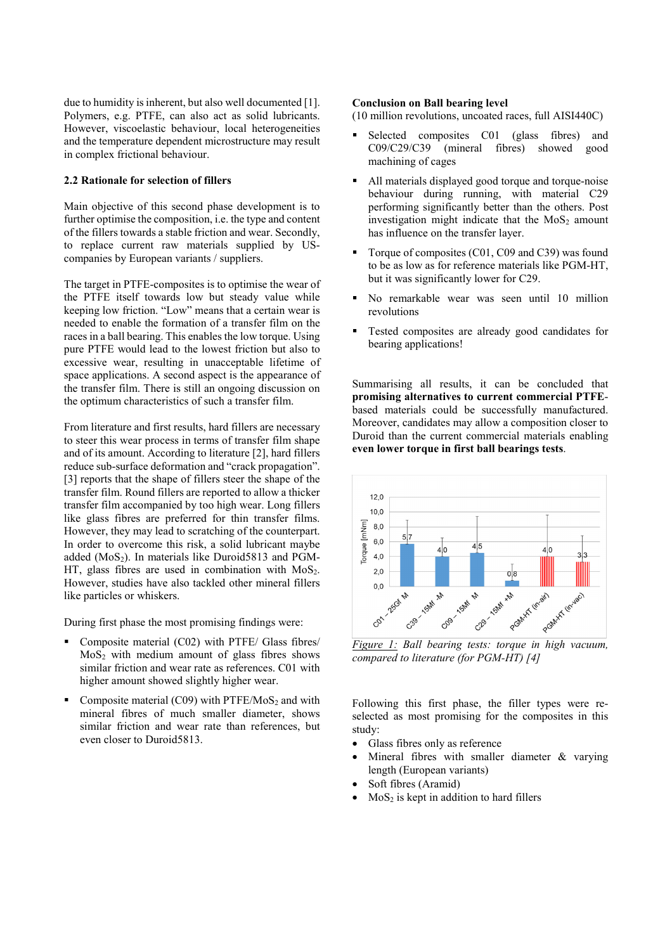due to humidity is inherent, but also well documented [1]. Polymers, e.g. PTFE, can also act as solid lubricants. However, viscoelastic behaviour, local heterogeneities and the temperature dependent microstructure may result in complex frictional behaviour.

### **2.2 Rationale for selection of fillers**

Main objective of this second phase development is to further optimise the composition, i.e. the type and content of the fillers towards a stable friction and wear. Secondly, to replace current raw materials supplied by UScompanies by European variants / suppliers.

The target in PTFE-composites is to optimise the wear of the PTFE itself towards low but steady value while keeping low friction. "Low" means that a certain wear is needed to enable the formation of a transfer film on the races in a ball bearing. This enables the low torque. Using pure PTFE would lead to the lowest friction but also to excessive wear, resulting in unacceptable lifetime of space applications. A second aspect is the appearance of the transfer film. There is still an ongoing discussion on the optimum characteristics of such a transfer film.

From literature and first results, hard fillers are necessary to steer this wear process in terms of transfer film shape and of its amount. According to literature [2], hard fillers reduce sub-surface deformation and "crack propagation". [3] reports that the shape of fillers steer the shape of the transfer film. Round fillers are reported to allow a thicker transfer film accompanied by too high wear. Long fillers like glass fibres are preferred for thin transfer films. However, they may lead to scratching of the counterpart. In order to overcome this risk, a solid lubricant maybe added  $(MoS<sub>2</sub>)$ . In materials like Duroid5813 and PGM-HT, glass fibres are used in combination with  $MoS<sub>2</sub>$ . However, studies have also tackled other mineral fillers like particles or whiskers.

During first phase the most promising findings were:

- Composite material (C02) with PTFE/ Glass fibres/  $MoS<sub>2</sub>$  with medium amount of glass fibres shows similar friction and wear rate as references. C01 with higher amount showed slightly higher wear.
- Composite material  $(C09)$  with PTFE/MoS<sub>2</sub> and with mineral fibres of much smaller diameter, shows similar friction and wear rate than references, but even closer to Duroid5813.

#### **Conclusion on Ball bearing level**

(10 million revolutions, uncoated races, full AISI440C)

- Selected composites C01 (glass fibres) and C09/C29/C39 (mineral fibres) showed good machining of cages
- All materials displayed good torque and torque-noise behaviour during running, with material C29 performing significantly better than the others. Post investigation might indicate that the  $MoS<sub>2</sub>$  amount has influence on the transfer layer.
- Torque of composites (C01, C09 and C39) was found to be as low as for reference materials like PGM-HT, but it was significantly lower for C29.
- No remarkable wear was seen until 10 million revolutions
- Tested composites are already good candidates for bearing applications!

Summarising all results, it can be concluded that **promising alternatives to current commercial PTFE**based materials could be successfully manufactured. Moreover, candidates may allow a composition closer to Duroid than the current commercial materials enabling **even lower torque in first ball bearings tests**.



*compared to literature (for PGM-HT) [4]*

Following this first phase, the filler types were reselected as most promising for the composites in this study:

- Glass fibres only as reference
- Mineral fibres with smaller diameter  $\&$  varying length (European variants)
- Soft fibres (Aramid)
- $MoS<sub>2</sub>$  is kept in addition to hard fillers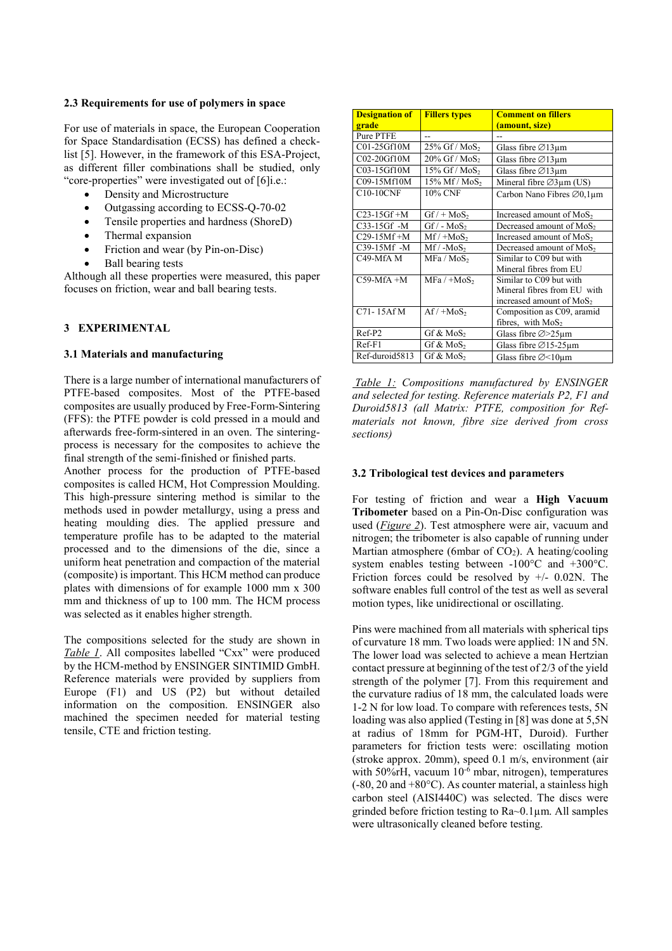#### **2.3 Requirements for use of polymers in space**

For use of materials in space, the European Cooperation for Space Standardisation (ECSS) has defined a checklist [5]. However, in the framework of this ESA-Project, as different filler combinations shall be studied, only "core-properties" were investigated out of [6]i.e.:

- Density and Microstructure
- Outgassing according to ECSS-Q-70-02
- Tensile properties and hardness (ShoreD)
- Thermal expansion
- Friction and wear (by Pin-on-Disc)
- Ball bearing tests

Although all these properties were measured, this paper focuses on friction, wear and ball bearing tests.

### **3 EXPERIMENTAL**

#### **3.1 Materials and manufacturing**

There is a large number of international manufacturers of PTFE-based composites. Most of the PTFE-based composites are usually produced by Free-Form-Sintering (FFS): the PTFE powder is cold pressed in a mould and afterwards free-form-sintered in an oven. The sinteringprocess is necessary for the composites to achieve the final strength of the semi-finished or finished parts.

Another process for the production of PTFE-based composites is called HCM, Hot Compression Moulding. This high-pressure sintering method is similar to the methods used in powder metallurgy, using a press and heating moulding dies. The applied pressure and temperature profile has to be adapted to the material processed and to the dimensions of the die, since a uniform heat penetration and compaction of the material (composite) is important. This HCM method can produce plates with dimensions of for example 1000 mm x 300 mm and thickness of up to 100 mm. The HCM process was selected as it enables higher strength.

The compositions selected for the study are shown in *Table 1*. All composites labelled "Cxx" were produced by the HCM-method by ENSINGER SINTIMID GmbH. Reference materials were provided by suppliers from Europe (F1) and US (P2) but without detailed information on the composition. ENSINGER also machined the specimen needed for material testing tensile, CTE and friction testing.

| <b>Designation of</b> | <b>Fillers types</b>      | <b>Comment on fillers</b>            |  |  |
|-----------------------|---------------------------|--------------------------------------|--|--|
| grade                 |                           | (amount, size)                       |  |  |
| Pure PTFE             |                           |                                      |  |  |
| C01-25Gf10M           | 25% Gf / MoS <sub>2</sub> | Glass fibre $\varnothing$ 13µm       |  |  |
| C02-20Gf10M           | 20% Gf / MoS <sub>2</sub> | Glass fibre $\varnothing$ 13µm       |  |  |
| C03-15Gf10M           | 15% Gf / MoS <sub>2</sub> | Glass fibre $\varnothing$ 13µm       |  |  |
| C09-15Mf10M           | 15% Mf / MoS <sub>2</sub> | Mineral fibre $\varnothing$ 3µm (US) |  |  |
| $C10-10CNF$           | 10% CNF                   | Carbon Nano Fibres Ø0,1µm            |  |  |
|                       |                           |                                      |  |  |
| $C23-15Gf+M$          | $GF/ + MoS2$              | Increased amount of MoS <sub>2</sub> |  |  |
| C33-15Gf -M           | $GF / - MoS2$             | Decreased amount of MoS <sub>2</sub> |  |  |
| C29-15Mf +M           | $Mf$ / + $MoS2$           | Increased amount of MoS <sub>2</sub> |  |  |
| C39-15Mf -M           | $Mf / -MoS2$              | Decreased amount of MoS <sub>2</sub> |  |  |
| C49-MfA M             | MFa / MoS <sub>2</sub>    | Similar to C09 but with              |  |  |
|                       |                           | Mineral fibres from EU               |  |  |
| $C59-MfA+M$           | $MFa / + MoS2$            | Similar to C09 but with              |  |  |
|                       |                           | Mineral fibres from EU with          |  |  |
|                       |                           | increased amount of MoS <sub>2</sub> |  |  |
| C71-15Af M            | $Af/ + MoS2$              | Composition as C09, aramid           |  |  |
|                       |                           | fibres, with $MoS2$                  |  |  |
| Ref-P2                | Gf & $MoS2$               | Glass fibre $\varnothing$ > 25 µm    |  |  |
| $Ref-F1$              | Gf & MoS <sub>2</sub>     | Glass fibre $\varnothing$ 15-25µm    |  |  |
| Ref-duroid5813        | Gf & MoS <sub>2</sub>     | Glass fibre $\varnothing$ < 10 µm    |  |  |

 *Table 1: Compositions manufactured by ENSINGER and selected for testing. Reference materials P2, F1 and Duroid5813 (all Matrix: PTFE, composition for Refmaterials not known, fibre size derived from cross sections)* 

#### **3.2 Tribological test devices and parameters**

For testing of friction and wear a **High Vacuum Tribometer** based on a Pin-On-Disc configuration was used (*Figure 2*). Test atmosphere were air, vacuum and nitrogen; the tribometer is also capable of running under Martian atmosphere (6mbar of  $CO<sub>2</sub>$ ). A heating/cooling system enables testing between -100°C and +300°C. Friction forces could be resolved by  $\pm$ /- 0.02N. The software enables full control of the test as well as several motion types, like unidirectional or oscillating.

Pins were machined from all materials with spherical tips of curvature 18 mm. Two loads were applied: 1N and 5N. The lower load was selected to achieve a mean Hertzian contact pressure at beginning of the test of 2/3 of the yield strength of the polymer [7]. From this requirement and the curvature radius of 18 mm, the calculated loads were 1-2 N for low load. To compare with references tests, 5N loading was also applied (Testing in [8] was done at 5,5N at radius of 18mm for PGM-HT, Duroid). Further parameters for friction tests were: oscillating motion (stroke approx. 20mm), speed 0.1 m/s, environment (air with 50%rH, vacuum  $10^{-6}$  mbar, nitrogen), temperatures (-80, 20 and +80°C). As counter material, a stainless high carbon steel (AISI440C) was selected. The discs were grinded before friction testing to Ra~0.1µm. All samples were ultrasonically cleaned before testing.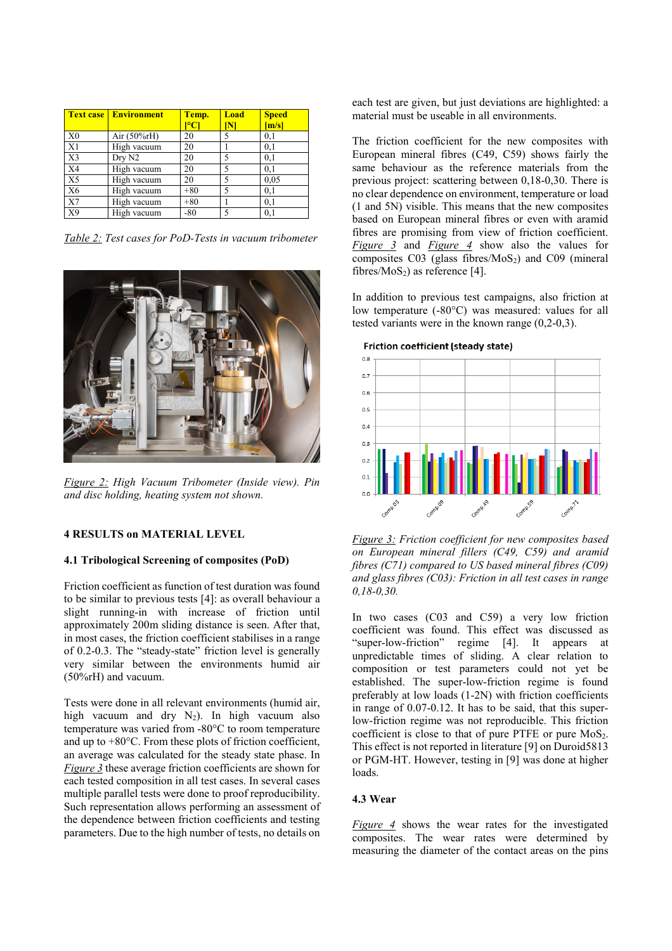|                | <b>Text case Environment</b> | Temp.<br>$\mathop{^{\circ} \mathbf{C}}$ | Load | <b>Speed</b><br>[m/s] |
|----------------|------------------------------|-----------------------------------------|------|-----------------------|
| X <sub>0</sub> | Air $(50\%$ rH)              | 20                                      |      | 0,1                   |
| X1             | High vacuum                  | 20                                      |      | 0,1                   |
| X <sub>3</sub> | Dry N <sub>2</sub>           | 20                                      |      | 0,1                   |
| X <sub>4</sub> | High vacuum                  | 20                                      |      | 0,1                   |
| X <sub>5</sub> | High vacuum                  | 20                                      |      | 0.05                  |
| X <sub>6</sub> | High vacuum                  | $+80$                                   |      | 0,1                   |
| X7             | High vacuum                  | $+80$                                   |      | 0,1                   |
| X9             | High vacuum                  | $-80$                                   |      | 0,1                   |

*Table 2: Test cases for PoD-Tests in vacuum tribometer* 



*Figure 2: High Vacuum Tribometer (Inside view). Pin and disc holding, heating system not shown.* 

### **4 RESULTS on MATERIAL LEVEL**

#### **4.1 Tribological Screening of composites (PoD)**

Friction coefficient as function of test duration was found to be similar to previous tests [4]: as overall behaviour a slight running-in with increase of friction until approximately 200m sliding distance is seen. After that, in most cases, the friction coefficient stabilises in a range of 0.2-0.3. The "steady-state" friction level is generally very similar between the environments humid air (50%rH) and vacuum.

Tests were done in all relevant environments (humid air, high vacuum and dry  $N_2$ ). In high vacuum also temperature was varied from -80°C to room temperature and up to  $+80^{\circ}$ C. From these plots of friction coefficient. an average was calculated for the steady state phase. In *Figure 3* these average friction coefficients are shown for each tested composition in all test cases. In several cases multiple parallel tests were done to proof reproducibility. Such representation allows performing an assessment of the dependence between friction coefficients and testing parameters. Due to the high number of tests, no details on

each test are given, but just deviations are highlighted: a material must be useable in all environments.

The friction coefficient for the new composites with European mineral fibres (C49, C59) shows fairly the same behaviour as the reference materials from the previous project: scattering between 0,18-0,30. There is no clear dependence on environment, temperature or load (1 and 5N) visible. This means that the new composites based on European mineral fibres or even with aramid fibres are promising from view of friction coefficient. *Figure 3* and *Figure 4* show also the values for composites  $C03$  (glass fibres/ $MoS<sub>2</sub>$ ) and  $C09$  (mineral fibres/ $MoS<sub>2</sub>$ ) as reference [4].

In addition to previous test campaigns, also friction at low temperature (-80°C) was measured: values for all tested variants were in the known range (0,2-0,3).

**Friction coefficient (steady state)** 



*Figure 3: Friction coefficient for new composites based on European mineral fillers (C49, C59) and aramid fibres (C71) compared to US based mineral fibres (C09) and glass fibres (C03): Friction in all test cases in range 0,18-0,30.* 

In two cases (C03 and C59) a very low friction coefficient was found. This effect was discussed as "super-low-friction" regime [4]. It appears at unpredictable times of sliding. A clear relation to composition or test parameters could not yet be established. The super-low-friction regime is found preferably at low loads (1-2N) with friction coefficients in range of 0.07-0.12. It has to be said, that this superlow-friction regime was not reproducible. This friction coefficient is close to that of pure PTFE or pure  $MoS<sub>2</sub>$ . This effect is not reported in literature [9] on Duroid5813 or PGM-HT. However, testing in [9] was done at higher loads.

#### **4.3 Wear**

*Figure 4* shows the wear rates for the investigated composites. The wear rates were determined by measuring the diameter of the contact areas on the pins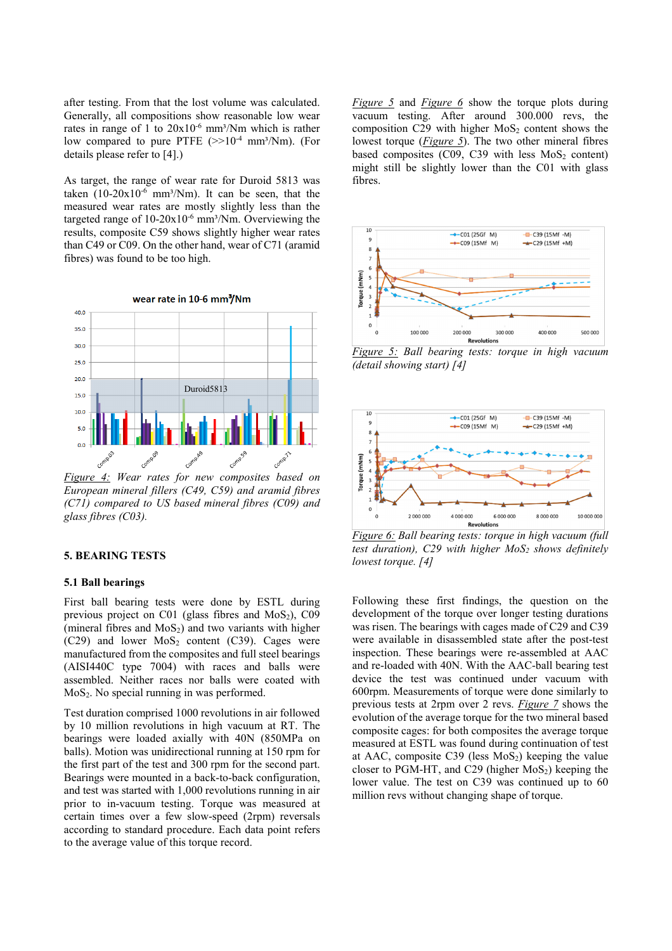after testing. From that the lost volume was calculated. Generally, all compositions show reasonable low wear rates in range of 1 to  $20x10^{-6}$  mm<sup>3</sup>/Nm which is rather low compared to pure PTFE  $(>>10^{-4}$  mm<sup>3</sup>/Nm). (For details please refer to [4].)

As target, the range of wear rate for Duroid 5813 was taken  $(10-20x10^{-6}$  mm<sup>3</sup>/Nm). It can be seen, that the measured wear rates are mostly slightly less than the targeted range of  $10-20x10^{-6}$  mm<sup>3</sup>/Nm. Overviewing the results, composite C59 shows slightly higher wear rates than C49 or C09. On the other hand, wear of C71 (aramid fibres) was found to be too high.



*Figure 4: Wear rates for new composites based on European mineral fillers (C49, C59) and aramid fibres (C71) compared to US based mineral fibres (C09) and glass fibres (C03).*

# **5. BEARING TESTS**

#### **5.1 Ball bearings**

First ball bearing tests were done by ESTL during previous project on C01 (glass fibres and  $MoS<sub>2</sub>$ ), C09 (mineral fibres and  $MoS<sub>2</sub>$ ) and two variants with higher  $(C29)$  and lower MoS<sub>2</sub> content  $(C39)$ . Cages were manufactured from the composites and full steel bearings (AISI440C type 7004) with races and balls were assembled. Neither races nor balls were coated with MoS<sub>2</sub>. No special running in was performed.

Test duration comprised 1000 revolutions in air followed by 10 million revolutions in high vacuum at RT. The bearings were loaded axially with 40N (850MPa on balls). Motion was unidirectional running at 150 rpm for the first part of the test and 300 rpm for the second part. Bearings were mounted in a back-to-back configuration, and test was started with 1,000 revolutions running in air prior to in-vacuum testing. Torque was measured at certain times over a few slow-speed (2rpm) reversals according to standard procedure. Each data point refers to the average value of this torque record.

*Figure 5* and *Figure 6* show the torque plots during vacuum testing. After around 300.000 revs, the composition C29 with higher  $MoS<sub>2</sub>$  content shows the lowest torque (*Figure 5*). The two other mineral fibres based composites  $(C09, C39$  with less  $MoS<sub>2</sub>$  content) might still be slightly lower than the C01 with glass fibres.



*Figure 5: Ball bearing tests: torque in high vacuum (detail showing start) [4]* 



*Figure 6: Ball bearing tests: torque in high vacuum (full test duration), C29 with higher MoS2 shows definitely lowest torque. [4]*

Following these first findings, the question on the development of the torque over longer testing durations was risen. The bearings with cages made of C29 and C39 were available in disassembled state after the post-test inspection. These bearings were re-assembled at AAC and re-loaded with 40N. With the AAC-ball bearing test device the test was continued under vacuum with 600rpm. Measurements of torque were done similarly to previous tests at 2rpm over 2 revs. *Figure 7* shows the evolution of the average torque for the two mineral based composite cages: for both composites the average torque measured at ESTL was found during continuation of test at AAC, composite C39 (less  $MoS<sub>2</sub>$ ) keeping the value closer to PGM-HT, and C29 (higher  $MoS<sub>2</sub>$ ) keeping the lower value. The test on C39 was continued up to 60 million revs without changing shape of torque.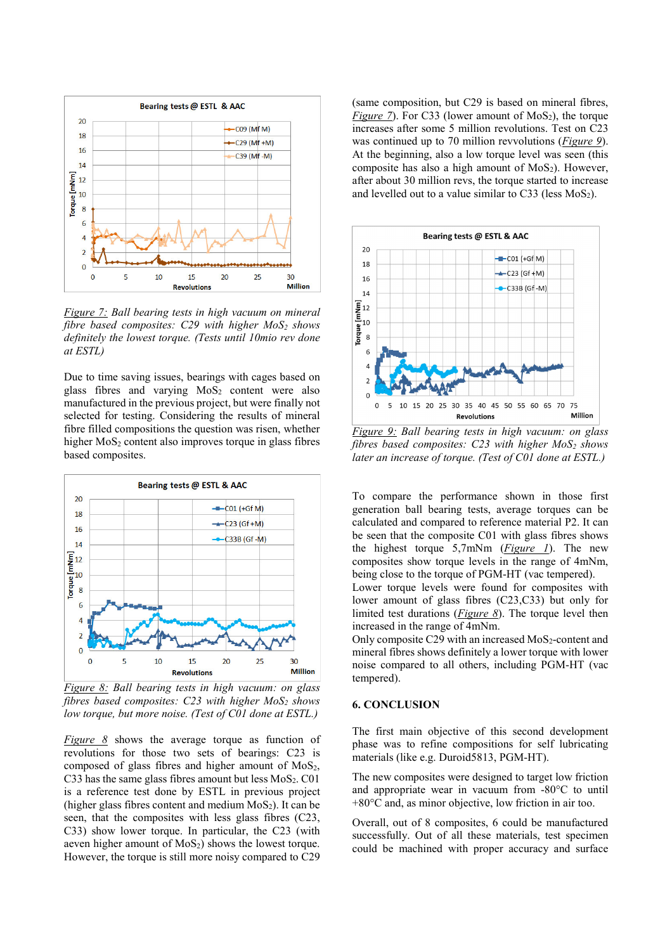

*Figure 7: Ball bearing tests in high vacuum on mineral fibre based composites: C29 with higher MoS2 shows definitely the lowest torque. (Tests until 10mio rev done at ESTL)*

Due to time saving issues, bearings with cages based on glass fibres and varying  $MoS<sub>2</sub>$  content were also manufactured in the previous project, but were finally not selected for testing. Considering the results of mineral fibre filled compositions the question was risen, whether higher  $MoS<sub>2</sub>$  content also improves torque in glass fibres based composites.



*Figure 8: Ball bearing tests in high vacuum: on glass fibres based composites: C23 with higher MoS2 shows low torque, but more noise. (Test of C01 done at ESTL.)*

*Figure 8* shows the average torque as function of revolutions for those two sets of bearings: C23 is composed of glass fibres and higher amount of  $MoS<sub>2</sub>$ , C33 has the same glass fibres amount but less  $MoS<sub>2</sub>$ . C01 is a reference test done by ESTL in previous project (higher glass fibres content and medium  $MoS<sub>2</sub>$ ). It can be seen, that the composites with less glass fibres (C23, C33) show lower torque. In particular, the C23 (with aeven higher amount of  $MoS<sub>2</sub>$ ) shows the lowest torque. However, the torque is still more noisy compared to C29

(same composition, but C29 is based on mineral fibres, *Figure 7*). For C33 (lower amount of  $MoS<sub>2</sub>$ ), the torque increases after some 5 million revolutions. Test on C23 was continued up to 70 million revvolutions (*Figure 9*). At the beginning, also a low torque level was seen (this composite has also a high amount of  $MoS<sub>2</sub>$ ). However, after about 30 million revs, the torque started to increase and levelled out to a value similar to  $C_3$  (less  $MoS_2$ ).



*Figure 9: Ball bearing tests in high vacuum: on glass fibres based composites: C23 with higher MoS2 shows later an increase of torque. (Test of C01 done at ESTL.)*

To compare the performance shown in those first generation ball bearing tests, average torques can be calculated and compared to reference material P2. It can be seen that the composite C01 with glass fibres shows the highest torque 5,7mNm (*Figure 1*). The new composites show torque levels in the range of 4mNm, being close to the torque of PGM-HT (vac tempered).

Lower torque levels were found for composites with lower amount of glass fibres (C23,C33) but only for limited test durations (*Figure 8*). The torque level then increased in the range of 4mNm.

Only composite C29 with an increased MoS<sub>2</sub>-content and mineral fibres shows definitely a lower torque with lower noise compared to all others, including PGM-HT (vac tempered).

### **6. CONCLUSION**

The first main objective of this second development phase was to refine compositions for self lubricating materials (like e.g. Duroid5813, PGM-HT).

The new composites were designed to target low friction and appropriate wear in vacuum from -80°C to until +80°C and, as minor objective, low friction in air too.

Overall, out of 8 composites, 6 could be manufactured successfully. Out of all these materials, test specimen could be machined with proper accuracy and surface